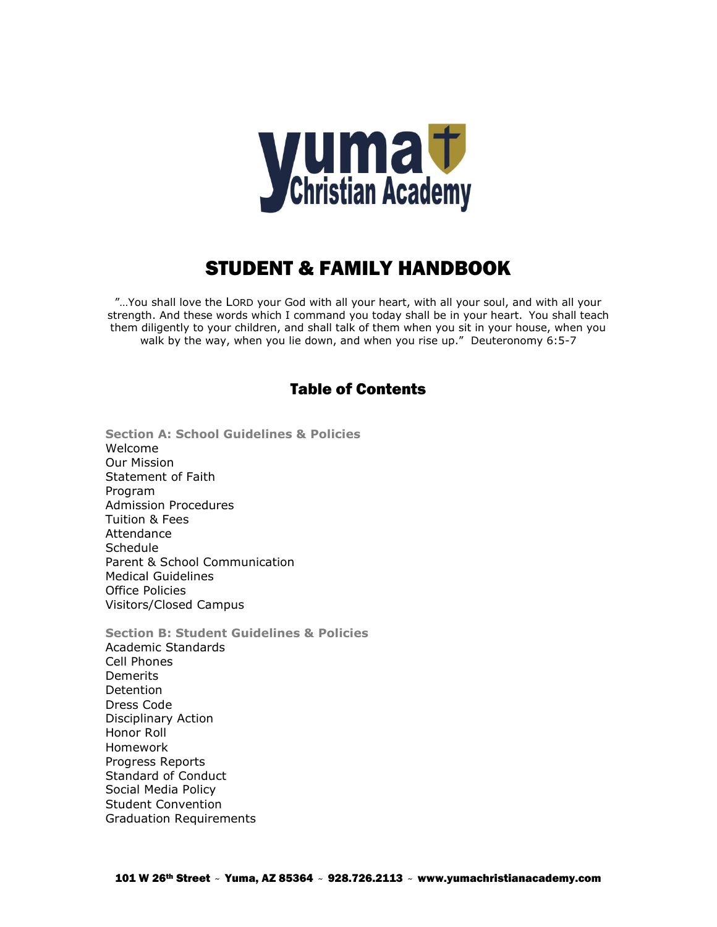

# STUDENT & FAMILY HANDBOOK

"…You shall love the LORD your God with all your heart, with all your soul, and with all your strength. And these words which I command you today shall be in your heart. You shall teach them diligently to your children, and shall talk of them when you sit in your house, when you walk by the way, when you lie down, and when you rise up." Deuteronomy 6:5-7

# Table of Contents

- **Section A: School Guidelines & Policies** Welcome Our Mission Statement of Faith Program Admission Procedures Tuition & Fees **Attendance Schedule** Parent & School Communication Medical Guidelines Office Policies Visitors/Closed Campus
- **Section B: Student Guidelines & Policies** Academic Standards Cell Phones **Demerits Detention** Dress Code Disciplinary Action Honor Roll Homework Progress Reports Standard of Conduct Social Media Policy Student Convention Graduation Requirements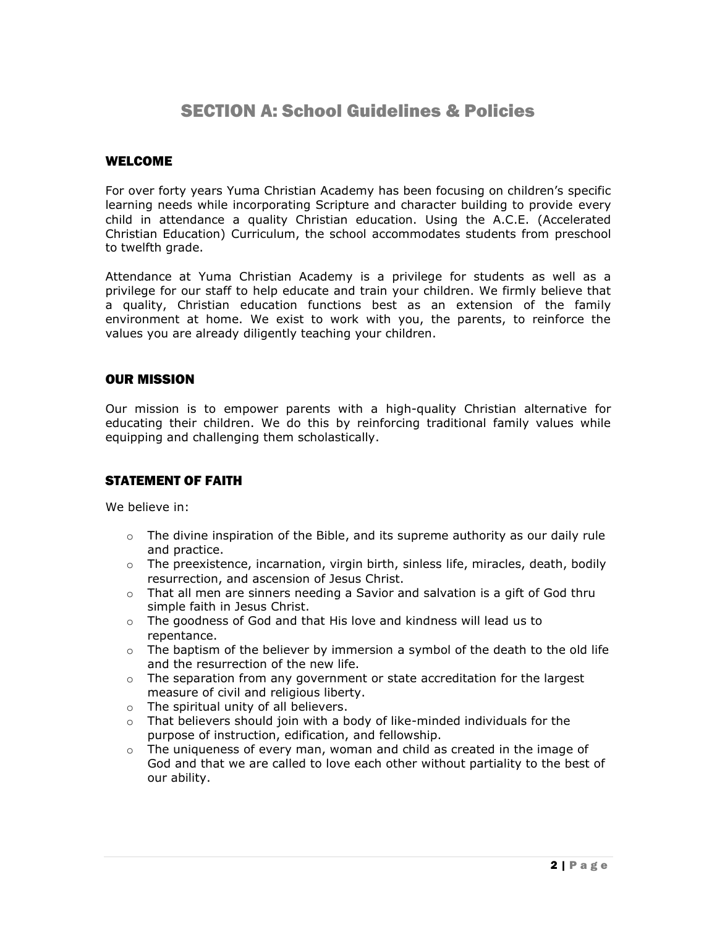# SECTION A: School Guidelines & Policies

#### WELCOME

For over forty years Yuma Christian Academy has been focusing on children's specific learning needs while incorporating Scripture and character building to provide every child in attendance a quality Christian education. Using the A.C.E. (Accelerated Christian Education) Curriculum, the school accommodates students from preschool to twelfth grade.

Attendance at Yuma Christian Academy is a privilege for students as well as a privilege for our staff to help educate and train your children. We firmly believe that a quality, Christian education functions best as an extension of the family environment at home. We exist to work with you, the parents, to reinforce the values you are already diligently teaching your children.

#### OUR MISSION

Our mission is to empower parents with a high-quality Christian alternative for educating their children. We do this by reinforcing traditional family values while equipping and challenging them scholastically.

# STATEMENT OF FAITH

We believe in:

- $\circ$  The divine inspiration of the Bible, and its supreme authority as our daily rule and practice.
- $\circ$  The preexistence, incarnation, virgin birth, sinless life, miracles, death, bodily resurrection, and ascension of Jesus Christ.
- $\circ$  That all men are sinners needing a Savior and salvation is a gift of God thru simple faith in Jesus Christ.
- $\circ$  The goodness of God and that His love and kindness will lead us to repentance.
- $\circ$  The baptism of the believer by immersion a symbol of the death to the old life and the resurrection of the new life.
- $\circ$  The separation from any government or state accreditation for the largest measure of civil and religious liberty.
- o The spiritual unity of all believers.
- $\circ$  That believers should join with a body of like-minded individuals for the purpose of instruction, edification, and fellowship.
- $\circ$  The uniqueness of every man, woman and child as created in the image of God and that we are called to love each other without partiality to the best of our ability.